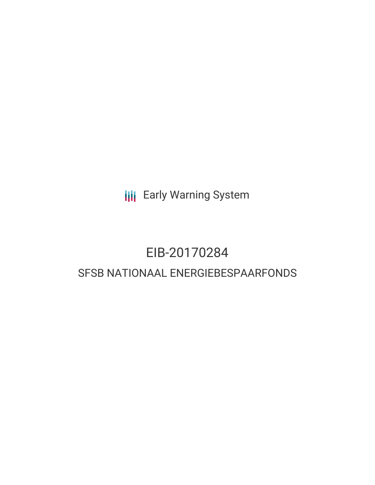**III** Early Warning System

## EIB-20170284 SFSB NATIONAAL ENERGIEBESPAARFONDS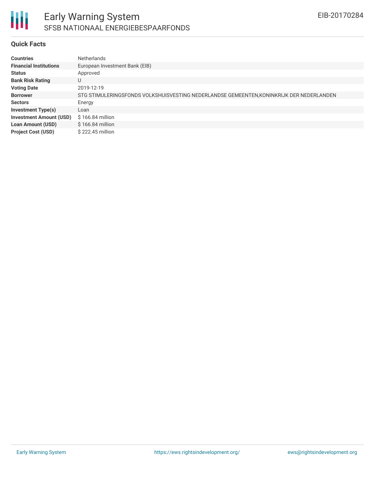

### Early Warning System SFSB NATIONAAL ENERGIEBESPAARFONDS

### **Quick Facts**

| <b>Countries</b>               | <b>Netherlands</b>                                                                       |
|--------------------------------|------------------------------------------------------------------------------------------|
| <b>Financial Institutions</b>  | European Investment Bank (EIB)                                                           |
| <b>Status</b>                  | Approved                                                                                 |
| <b>Bank Risk Rating</b>        | U                                                                                        |
| <b>Voting Date</b>             | 2019-12-19                                                                               |
| <b>Borrower</b>                | STG STIMULERINGSFONDS VOLKSHUISVESTING NEDERLANDSE GEMEENTEN, KONINKRIJK DER NEDERLANDEN |
| <b>Sectors</b>                 | Energy                                                                                   |
| <b>Investment Type(s)</b>      | Loan                                                                                     |
| <b>Investment Amount (USD)</b> | $$166.84$ million                                                                        |
| <b>Loan Amount (USD)</b>       | \$166.84 million                                                                         |
| <b>Project Cost (USD)</b>      | \$222.45 million                                                                         |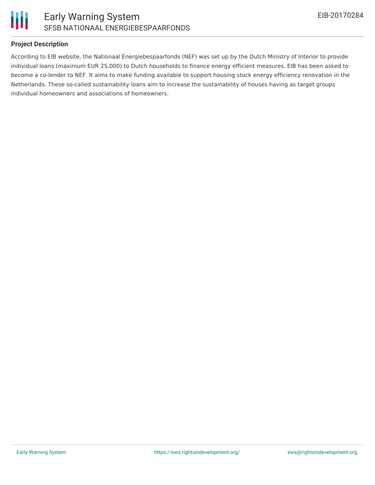



### **Project Description**

According to EIB website, the Nationaal Energiebespaarfonds (NEF) was set up by the Dutch Ministry of Interior to provide individual loans (maximum EUR 25,000) to Dutch households to finance energy efficient measures. EIB has been asked to become a co-lender to NEF. It aims to make funding available to support housing stock energy efficiency renovation in the Netherlands. These so-called sustainability loans aim to increase the sustainability of houses having as target groups individual homeowners and associations of homeowners.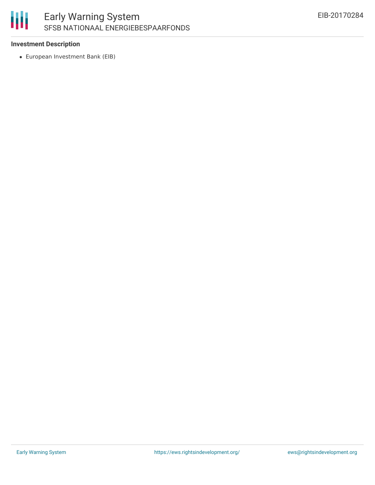# 朋

### **Investment Description**

European Investment Bank (EIB)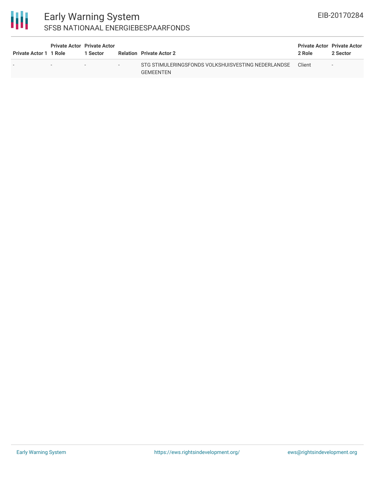| <b>Private Actor 1 1 Role</b> | <b>Private Actor Private Actor</b> | 1 Sector                 |                          | <b>Relation</b> Private Actor 2                                        | <b>Private Actor Private Actor</b><br>2 Role | 2 Sector                 |
|-------------------------------|------------------------------------|--------------------------|--------------------------|------------------------------------------------------------------------|----------------------------------------------|--------------------------|
| -                             | $\overline{\phantom{0}}$           | $\overline{\phantom{0}}$ | $\overline{\phantom{a}}$ | STG STIMULERINGSFONDS VOLKSHUISVESTING NEDERLANDSE<br><b>GEMEENTEN</b> | Client                                       | $\overline{\phantom{a}}$ |